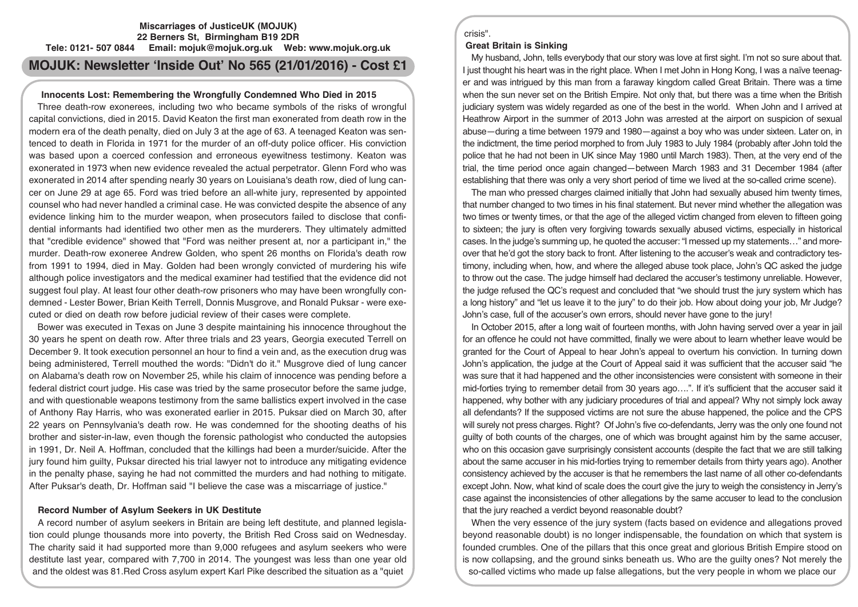### **Miscarriages of JusticeUK (MOJUK) 22 Berners St, Birmingham B19 2DR Tele: 0121- 507 0844 Email: mojuk@mojuk.org.uk Web: www.mojuk.org.uk**

# **MOJUK: Newsletter 'Inside Out' No 565 (21/01/2016) - Cost £1**

## **Innocents Lost: Remembering the Wrongfully Condemned Who Died in 2015**

Three death-row exonerees, including two who became symbols of the risks of wrongful capital convictions, died in 2015. David Keaton the first man exonerated from death row in the modern era of the death penalty, died on July 3 at the age of 63. A teenaged Keaton was sentenced to death in Florida in 1971 for the murder of an off-duty police officer. His conviction was based upon a coerced confession and erroneous eyewitness testimony. Keaton was exonerated in 1973 when new evidence revealed the actual perpetrator. Glenn Ford who was exonerated in 2014 after spending nearly 30 years on Louisiana's death row, died of lung cancer on June 29 at age 65. Ford was tried before an all-white jury, represented by appointed counsel who had never handled a criminal case. He was convicted despite the absence of any evidence linking him to the murder weapon, when prosecutors failed to disclose that confidential informants had identified two other men as the murderers. They ultimately admitted that "credible evidence" showed that "Ford was neither present at, nor a participant in," the murder. Death-row exoneree Andrew Golden, who spent 26 months on Florida's death row from 1991 to 1994, died in May. Golden had been wrongly convicted of murdering his wife although police investigators and the medical examiner had testified that the evidence did not suggest foul play. At least four other death-row prisoners who may have been wrongfully condemned - Lester Bower, Brian Keith Terrell, Donnis Musgrove, and Ronald Puksar - were executed or died on death row before judicial review of their cases were complete.

Bower was executed in Texas on June 3 despite maintaining his innocence throughout the 30 years he spent on death row. After three trials and 23 years, Georgia executed Terrell on December 9. It took execution personnel an hour to find a vein and, as the execution drug was being administered, Terrell mouthed the words: "Didn't do it." Musgrove died of lung cancer on Alabama's death row on November 25, while his claim of innocence was pending before a federal district court judge. His case was tried by the same prosecutor before the same judge, and with questionable weapons testimony from the same ballistics expert involved in the case of Anthony Ray Harris, who was exonerated earlier in 2015. Puksar died on March 30, after 22 years on Pennsylvania's death row. He was condemned for the shooting deaths of his brother and sister-in-law, even though the forensic pathologist who conducted the autopsies in 1991, Dr. Neil A. Hoffman, concluded that the killings had been a murder/suicide. After the jury found him guilty, Puksar directed his trial lawyer not to introduce any mitigating evidence in the penalty phase, saying he had not committed the murders and had nothing to mitigate. After Puksar's death, Dr. Hoffman said "I believe the case was a miscarriage of justice."

## **Record Number of Asylum Seekers in UK Destitute**

A record number of asylum seekers in Britain are being left destitute, and planned legislation could plunge thousands more into poverty, the British Red Cross said on Wednesday. The charity said it had supported more than 9,000 refugees and asylum seekers who were destitute last year, compared with 7,700 in 2014. The youngest was less than one year old and the oldest was 81.Red Cross asylum expert Karl Pike described the situation as a "quiet

## crisis".

#### **Great Britain is Sinking**

My husband, John, tells everybody that our story was love at first sight. I'm not so sure about that. I just thought his heart was in the right place. When I met John in Hong Kong, I was a naïve teenager and was intrigued by this man from a faraway kingdom called Great Britain. There was a time when the sun never set on the British Empire. Not only that, but there was a time when the British judiciary system was widely regarded as one of the best in the world. When John and I arrived at Heathrow Airport in the summer of 2013 John was arrested at the airport on suspicion of sexual abuse—during a time between 1979 and 1980—against a boy who was under sixteen. Later on, in the indictment, the time period morphed to from July 1983 to July 1984 (probably after John told the police that he had not been in UK since May 1980 until March 1983). Then, at the very end of the trial, the time period once again changed—between March 1983 and 31 December 1984 (after establishing that there was only a very short period of time we lived at the so-called crime scene).

The man who pressed charges claimed initially that John had sexually abused him twenty times, that number changed to two times in his final statement. But never mind whether the allegation was two times or twenty times, or that the age of the alleged victim changed from eleven to fifteen going to sixteen; the jury is often very forgiving towards sexually abused victims, especially in historical cases. In the judge's summing up, he quoted the accuser: "I messed up my statements…" and moreover that he'd got the story back to front. After listening to the accuser's weak and contradictory testimony, including when, how, and where the alleged abuse took place, John's QC asked the judge to throw out the case. The judge himself had declared the accuser's testimony unreliable. However, the judge refused the QC's request and concluded that "we should trust the jury system which has a long history" and "let us leave it to the jury" to do their job. How about doing your job, Mr Judge? John's case, full of the accuser's own errors, should never have gone to the jury!

In October 2015, after a long wait of fourteen months, with John having served over a year in jail for an offence he could not have committed, finally we were about to learn whether leave would be granted for the Court of Appeal to hear John's appeal to overturn his conviction. In turning down John's application, the judge at the Court of Appeal said it was sufficient that the accuser said "he was sure that it had happened and the other inconsistencies were consistent with someone in their mid-forties trying to remember detail from 30 years ago….". If it's sufficient that the accuser said it happened, why bother with any judiciary procedures of trial and appeal? Why not simply lock away all defendants? If the supposed victims are not sure the abuse happened, the police and the CPS will surely not press charges. Right? Of John's five co-defendants, Jerry was the only one found not guilty of both counts of the charges, one of which was brought against him by the same accuser, who on this occasion gave surprisingly consistent accounts (despite the fact that we are still talking about the same accuser in his mid-forties trying to remember details from thirty years ago). Another consistency achieved by the accuser is that he remembers the last name of all other co-defendants except John. Now, what kind of scale does the court give the jury to weigh the consistency in Jerry's case against the inconsistencies of other allegations by the same accuser to lead to the conclusion that the jury reached a verdict beyond reasonable doubt?

When the very essence of the jury system (facts based on evidence and allegations proved beyond reasonable doubt) is no longer indispensable, the foundation on which that system is founded crumbles. One of the pillars that this once great and glorious British Empire stood on is now collapsing, and the ground sinks beneath us. Who are the guilty ones? Not merely the so-called victims who made up false allegations, but the very people in whom we place our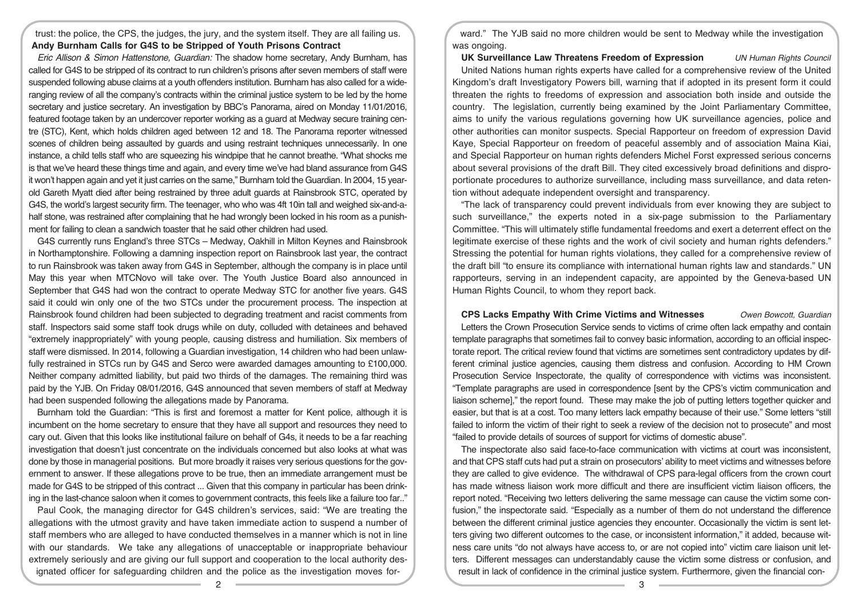trust: the police, the CPS, the judges, the jury, and the system itself. They are all failing us. **Andy Burnham Calls for G4S to be Stripped of Youth Prisons Contract**

*Eric Allison & Simon Hattenstone, Guardian:* The shadow home secretary, Andy Burnham, has called for G4S to be stripped of its contract to run children's prisons after seven members of staff were suspended following abuse claims at a youth offenders institution. Burnham has also called for a wideranging review of all the company's contracts within the criminal justice system to be led by the home secretary and justice secretary. An investigation by BBC's Panorama, aired on Monday 11/01/2016, featured footage taken by an undercover reporter working as a guard at Medway secure training centre (STC), Kent, which holds children aged between 12 and 18. The Panorama reporter witnessed scenes of children being assaulted by guards and using restraint techniques unnecessarily. In one instance, a child tells staff who are squeezing his windpipe that he cannot breathe. "What shocks me is that we've heard these things time and again, and every time we've had bland assurance from G4S it won't happen again and yet it just carries on the same," Burnham told the Guardian. In 2004, 15 yearold Gareth Myatt died after being restrained by three adult guards at Rainsbrook STC, operated by G4S, the world's largest security firm. The teenager, who who was 4ft 10in tall and weighed six-and-ahalf stone, was restrained after complaining that he had wrongly been locked in his room as a punishment for failing to clean a sandwich toaster that he said other children had used.

G4S currently runs England's three STCs – Medway, Oakhill in Milton Keynes and Rainsbrook in Northamptonshire. Following a damning inspection report on Rainsbrook last year, the contract to run Rainsbrook was taken away from G4S in September, although the company is in place until May this year when MTCNovo will take over. The Youth Justice Board also announced in September that G4S had won the contract to operate Medway STC for another five years. G4S said it could win only one of the two STCs under the procurement process. The inspection at Rainsbrook found children had been subjected to degrading treatment and racist comments from staff. Inspectors said some staff took drugs while on duty, colluded with detainees and behaved "extremely inappropriately" with young people, causing distress and humiliation. Six members of staff were dismissed. In 2014, following a Guardian investigation, 14 children who had been unlawfully restrained in STCs run by G4S and Serco were awarded damages amounting to £100,000. Neither company admitted liability, but paid two thirds of the damages. The remaining third was paid by the YJB. On Friday 08/01/2016, G4S announced that seven members of staff at Medway had been suspended following the allegations made by Panorama.

Burnham told the Guardian: "This is first and foremost a matter for Kent police, although it is incumbent on the home secretary to ensure that they have all support and resources they need to cary out. Given that this looks like institutional failure on behalf of G4s, it needs to be a far reaching investigation that doesn't just concentrate on the individuals concerned but also looks at what was done by those in managerial positions. But more broadly it raises very serious questions for the government to answer. If these allegations prove to be true, then an immediate arrangement must be made for G4S to be stripped of this contract ... Given that this company in particular has been drinking in the last-chance saloon when it comes to government contracts, this feels like a failure too far.."

Paul Cook, the managing director for G4S children's services, said: "We are treating the allegations with the utmost gravity and have taken immediate action to suspend a number of staff members who are alleged to have conducted themselves in a manner which is not in line with our standards. We take any allegations of unacceptable or inappropriate behaviour extremely seriously and are giving our full support and cooperation to the local authority designated officer for safeguarding children and the police as the investigation moves for-

ward." The YJB said no more children would be sent to Medway while the investigation was ongoing.

**UK Surveillance Law Threatens Freedom of Expression** *UN Human Rights Council* United Nations human rights experts have called for a comprehensive review of the United Kingdom's draft Investigatory Powers bill, warning that if adopted in its present form it could threaten the rights to freedoms of expression and association both inside and outside the country. The legislation, currently being examined by the Joint Parliamentary Committee, aims to unify the various regulations governing how UK surveillance agencies, police and other authorities can monitor suspects. Special Rapporteur on freedom of expression David Kaye, Special Rapporteur on freedom of peaceful assembly and of association Maina Kiai, and Special Rapporteur on human rights defenders Michel Forst expressed serious concerns about several provisions of the draft Bill. They cited excessively broad definitions and disproportionate procedures to authorize surveillance, including mass surveillance, and data retention without adequate independent oversight and transparency.

"The lack of transparency could prevent individuals from ever knowing they are subject to such surveillance," the experts noted in a six-page submission to the Parliamentary Committee. "This will ultimately stifle fundamental freedoms and exert a deterrent effect on the legitimate exercise of these rights and the work of civil society and human rights defenders." Stressing the potential for human rights violations, they called for a comprehensive review of the draft bill "to ensure its compliance with international human rights law and standards." UN rapporteurs, serving in an independent capacity, are appointed by the Geneva-based UN Human Rights Council, to whom they report back.

**CPS Lacks Empathy With Crime Victims and Witnesses** *Owen Bowcott, Guardian* Letters the Crown Prosecution Service sends to victims of crime often lack empathy and contain template paragraphs that sometimes fail to convey basic information, according to an official inspectorate report. The critical review found that victims are sometimes sent contradictory updates by different criminal justice agencies, causing them distress and confusion. According to HM Crown Prosecution Service Inspectorate, the quality of correspondence with victims was inconsistent. "Template paragraphs are used in correspondence [sent by the CPS's victim communication and liaison scheme]," the report found. These may make the job of putting letters together quicker and easier, but that is at a cost. Too many letters lack empathy because of their use." Some letters "still failed to inform the victim of their right to seek a review of the decision not to prosecute" and most "failed to provide details of sources of support for victims of domestic abuse".

The inspectorate also said face-to-face communication with victims at court was inconsistent, and that CPS staff cuts had put a strain on prosecutors' ability to meet victims and witnesses before they are called to give evidence. The withdrawal of CPS para-legal officers from the crown court has made witness liaison work more difficult and there are insufficient victim liaison officers, the report noted. "Receiving two letters delivering the same message can cause the victim some confusion," the inspectorate said. "Especially as a number of them do not understand the difference between the different criminal justice agencies they encounter. Occasionally the victim is sent letters giving two different outcomes to the case, or inconsistent information," it added, because witness care units "do not always have access to, or are not copied into" victim care liaison unit letters. Different messages can understandably cause the victim some distress or confusion, and result in lack of confidence in the criminal justice system. Furthermore, given the financial con-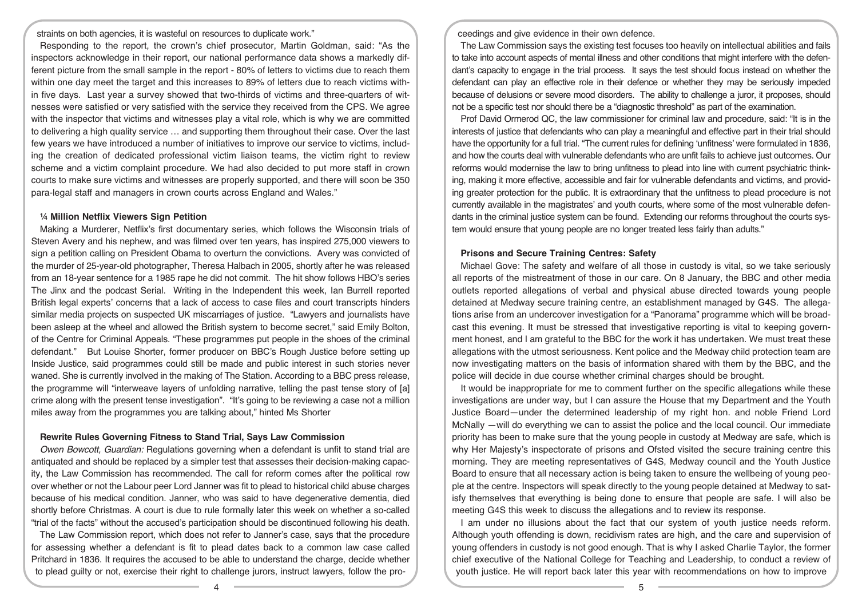straints on both agencies, it is wasteful on resources to duplicate work."

Responding to the report, the crown's chief prosecutor, Martin Goldman, said: "As the inspectors acknowledge in their report, our national performance data shows a markedly different picture from the small sample in the report - 80% of letters to victims due to reach them within one day meet the target and this increases to 89% of letters due to reach victims within five days. Last year a survey showed that two-thirds of victims and three-quarters of witnesses were satisfied or very satisfied with the service they received from the CPS. We agree with the inspector that victims and witnesses play a vital role, which is why we are committed to delivering a high quality service … and supporting them throughout their case. Over the last few years we have introduced a number of initiatives to improve our service to victims, including the creation of dedicated professional victim liaison teams, the victim right to review scheme and a victim complaint procedure. We had also decided to put more staff in crown courts to make sure victims and witnesses are properly supported, and there will soon be 350 para-legal staff and managers in crown courts across England and Wales."

#### **¼ Million Netflix Viewers Sign Petition**

Making a Murderer, Netflix's first documentary series, which follows the Wisconsin trials of Steven Avery and his nephew, and was filmed over ten years, has inspired 275,000 viewers to sign a petition calling on President Obama to overturn the convictions. Avery was convicted of the murder of 25-year-old photographer, Theresa Halbach in 2005, shortly after he was released from an 18-year sentence for a 1985 rape he did not commit. The hit show follows HBO's series The Jinx and the podcast Serial. Writing in the Independent this week, Ian Burrell reported British legal experts' concerns that a lack of access to case files and court transcripts hinders similar media projects on suspected UK miscarriages of justice. "Lawyers and journalists have been asleep at the wheel and allowed the British system to become secret," said Emily Bolton, of the Centre for Criminal Appeals. "These programmes put people in the shoes of the criminal defendant." But Louise Shorter, former producer on BBC's Rough Justice before setting up Inside Justice, said programmes could still be made and public interest in such stories never waned. She is currently involved in the making of The Station. According to a BBC press release, the programme will "interweave layers of unfolding narrative, telling the past tense story of [a] crime along with the present tense investigation". "It's going to be reviewing a case not a million miles away from the programmes you are talking about," hinted Ms Shorter

### **Rewrite Rules Governing Fitness to Stand Trial, Says Law Commission**

*Owen Bowcott, Guardian:* Regulations governing when a defendant is unfit to stand trial are antiquated and should be replaced by a simpler test that assesses their decision-making capacity, the Law Commission has recommended. The call for reform comes after the political row over whether or not the Labour peer Lord Janner was fit to plead to historical child abuse charges because of his medical condition. Janner, who was said to have degenerative dementia, died shortly before Christmas. A court is due to rule formally later this week on whether a so-called "trial of the facts" without the accused's participation should be discontinued following his death.

The Law Commission report, which does not refer to Janner's case, says that the procedure for assessing whether a defendant is fit to plead dates back to a common law case called Pritchard in 1836. It requires the accused to be able to understand the charge, decide whether to plead quilty or not, exercise their right to challenge jurors, instruct lawyers, follow the proceedings and give evidence in their own defence.

The Law Commission says the existing test focuses too heavily on intellectual abilities and fails to take into account aspects of mental illness and other conditions that might interfere with the defendant's capacity to engage in the trial process. It says the test should focus instead on whether the defendant can play an effective role in their defence or whether they may be seriously impeded because of delusions or severe mood disorders. The ability to challenge a juror, it proposes, should not be a specific test nor should there be a "diagnostic threshold" as part of the examination.

Prof David Ormerod QC, the law commissioner for criminal law and procedure, said: "It is in the interests of justice that defendants who can play a meaningful and effective part in their trial should have the opportunity for a full trial. "The current rules for defining 'unfitness' were formulated in 1836, and how the courts deal with vulnerable defendants who are unfit fails to achieve just outcomes. Our reforms would modernise the law to bring unfitness to plead into line with current psychiatric thinking, making it more effective, accessible and fair for vulnerable defendants and victims, and providing greater protection for the public. It is extraordinary that the unfitness to plead procedure is not currently available in the magistrates' and youth courts, where some of the most vulnerable defendants in the criminal justice system can be found. Extending our reforms throughout the courts system would ensure that young people are no longer treated less fairly than adults."

## **Prisons and Secure Training Centres: Safety**

Michael Gove: The safety and welfare of all those in custody is vital, so we take seriously all reports of the mistreatment of those in our care. On 8 January, the BBC and other media outlets reported allegations of verbal and physical abuse directed towards young people detained at Medway secure training centre, an establishment managed by G4S. The allegations arise from an undercover investigation for a "Panorama" programme which will be broadcast this evening. It must be stressed that investigative reporting is vital to keeping government honest, and I am grateful to the BBC for the work it has undertaken. We must treat these allegations with the utmost seriousness. Kent police and the Medway child protection team are now investigating matters on the basis of information shared with them by the BBC, and the police will decide in due course whether criminal charges should be brought.

It would be inappropriate for me to comment further on the specific allegations while these investigations are under way, but I can assure the House that my Department and the Youth Justice Board—under the determined leadership of my right hon. and noble Friend Lord McNally —will do everything we can to assist the police and the local council. Our immediate priority has been to make sure that the young people in custody at Medway are safe, which is why Her Majesty's inspectorate of prisons and Ofsted visited the secure training centre this morning. They are meeting representatives of G4S, Medway council and the Youth Justice Board to ensure that all necessary action is being taken to ensure the wellbeing of young people at the centre. Inspectors will speak directly to the young people detained at Medway to satisfy themselves that everything is being done to ensure that people are safe. I will also be meeting G4S this week to discuss the allegations and to review its response.

I am under no illusions about the fact that our system of youth justice needs reform. Although youth offending is down, recidivism rates are high, and the care and supervision of young offenders in custody is not good enough. That is why I asked Charlie Taylor, the former chief executive of the National College for Teaching and Leadership, to conduct a review of youth justice. He will report back later this year with recommendations on how to improve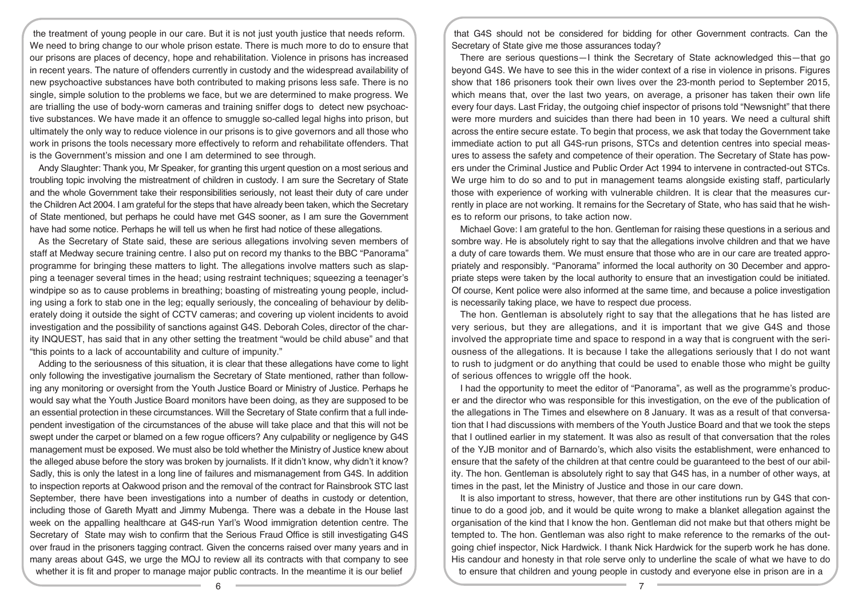the treatment of young people in our care. But it is not just youth justice that needs reform. We need to bring change to our whole prison estate. There is much more to do to ensure that our prisons are places of decency, hope and rehabilitation. Violence in prisons has increased in recent years. The nature of offenders currently in custody and the widespread availability of new psychoactive substances have both contributed to making prisons less safe. There is no single, simple solution to the problems we face, but we are determined to make progress. We are trialling the use of body-worn cameras and training sniffer dogs to detect new psychoactive substances. We have made it an offence to smuggle so-called legal highs into prison, but ultimately the only way to reduce violence in our prisons is to give governors and all those who work in prisons the tools necessary more effectively to reform and rehabilitate offenders. That is the Government's mission and one I am determined to see through.

Andy Slaughter: Thank you, Mr Speaker, for granting this urgent question on a most serious and troubling topic involving the mistreatment of children in custody. I am sure the Secretary of State and the whole Government take their responsibilities seriously, not least their duty of care under the Children Act 2004. I am grateful for the steps that have already been taken, which the Secretary of State mentioned, but perhaps he could have met G4S sooner, as I am sure the Government have had some notice. Perhaps he will tell us when he first had notice of these allegations.

As the Secretary of State said, these are serious allegations involving seven members of staff at Medway secure training centre. I also put on record my thanks to the BBC "Panorama" programme for bringing these matters to light. The allegations involve matters such as slapping a teenager several times in the head; using restraint techniques; squeezing a teenager's windpipe so as to cause problems in breathing; boasting of mistreating young people, including using a fork to stab one in the leg; equally seriously, the concealing of behaviour by deliberately doing it outside the sight of CCTV cameras; and covering up violent incidents to avoid investigation and the possibility of sanctions against G4S. Deborah Coles, director of the charity INQUEST, has said that in any other setting the treatment "would be child abuse" and that "this points to a lack of accountability and culture of impunity."

Adding to the seriousness of this situation, it is clear that these allegations have come to light only following the investigative journalism the Secretary of State mentioned, rather than following any monitoring or oversight from the Youth Justice Board or Ministry of Justice. Perhaps he would say what the Youth Justice Board monitors have been doing, as they are supposed to be an essential protection in these circumstances. Will the Secretary of State confirm that a full independent investigation of the circumstances of the abuse will take place and that this will not be swept under the carpet or blamed on a few rogue officers? Any culpability or negligence by G4S management must be exposed. We must also be told whether the Ministry of Justice knew about the alleged abuse before the story was broken by journalists. If it didn't know, why didn't it know? Sadly, this is only the latest in a long line of failures and mismanagement from G4S. In addition to inspection reports at Oakwood prison and the removal of the contract for Rainsbrook STC last September, there have been investigations into a number of deaths in custody or detention, including those of Gareth Myatt and Jimmy Mubenga. There was a debate in the House last week on the appalling healthcare at G4S-run Yarl's Wood immigration detention centre. The Secretary of State may wish to confirm that the Serious Fraud Office is still investigating G4S over fraud in the prisoners tagging contract. Given the concerns raised over many years and in many areas about G4S, we urge the MOJ to review all its contracts with that company to see whether it is fit and proper to manage major public contracts. In the meantime it is our belief

that G4S should not be considered for bidding for other Government contracts. Can the Secretary of State give me those assurances today?

There are serious questions—I think the Secretary of State acknowledged this—that go beyond G4S. We have to see this in the wider context of a rise in violence in prisons. Figures show that 186 prisoners took their own lives over the 23-month period to September 2015, which means that, over the last two years, on average, a prisoner has taken their own life every four days. Last Friday, the outgoing chief inspector of prisons told "Newsnight" that there were more murders and suicides than there had been in 10 years. We need a cultural shift across the entire secure estate. To begin that process, we ask that today the Government take immediate action to put all G4S-run prisons, STCs and detention centres into special measures to assess the safety and competence of their operation. The Secretary of State has powers under the Criminal Justice and Public Order Act 1994 to intervene in contracted-out STCs. We urge him to do so and to put in management teams alongside existing staff, particularly those with experience of working with vulnerable children. It is clear that the measures currently in place are not working. It remains for the Secretary of State, who has said that he wishes to reform our prisons, to take action now.

Michael Gove: I am grateful to the hon. Gentleman for raising these questions in a serious and sombre way. He is absolutely right to say that the allegations involve children and that we have a duty of care towards them. We must ensure that those who are in our care are treated appropriately and responsibly. "Panorama" informed the local authority on 30 December and appropriate steps were taken by the local authority to ensure that an investigation could be initiated. Of course, Kent police were also informed at the same time, and because a police investigation is necessarily taking place, we have to respect due process.

The hon. Gentleman is absolutely right to say that the allegations that he has listed are very serious, but they are allegations, and it is important that we give G4S and those involved the appropriate time and space to respond in a way that is congruent with the seriousness of the allegations. It is because I take the allegations seriously that I do not want to rush to judgment or do anything that could be used to enable those who might be guilty of serious offences to wriggle off the hook.

I had the opportunity to meet the editor of "Panorama", as well as the programme's producer and the director who was responsible for this investigation, on the eve of the publication of the allegations in The Times and elsewhere on 8 January. It was as a result of that conversation that I had discussions with members of the Youth Justice Board and that we took the steps that I outlined earlier in my statement. It was also as result of that conversation that the roles of the YJB monitor and of Barnardo's, which also visits the establishment, were enhanced to ensure that the safety of the children at that centre could be guaranteed to the best of our ability. The hon. Gentleman is absolutely right to say that G4S has, in a number of other ways, at times in the past, let the Ministry of Justice and those in our care down.

It is also important to stress, however, that there are other institutions run by G4S that continue to do a good job, and it would be quite wrong to make a blanket allegation against the organisation of the kind that I know the hon. Gentleman did not make but that others might be tempted to. The hon. Gentleman was also right to make reference to the remarks of the outgoing chief inspector, Nick Hardwick. I thank Nick Hardwick for the superb work he has done. His candour and honesty in that role serve only to underline the scale of what we have to do to ensure that children and young people in custody and everyone else in prison are in a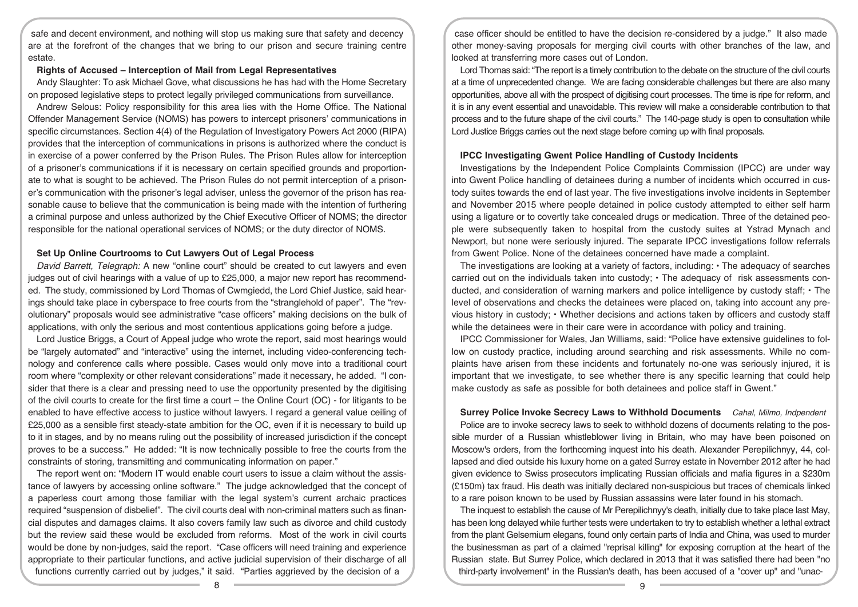safe and decent environment, and nothing will stop us making sure that safety and decency are at the forefront of the changes that we bring to our prison and secure training centre estate.

## **Rights of Accused – Interception of Mail from Legal Representatives**

Andy Slaughter: To ask Michael Gove, what discussions he has had with the Home Secretary on proposed legislative steps to protect legally privileged communications from surveillance.

Andrew Selous: Policy responsibility for this area lies with the Home Office. The National Offender Management Service (NOMS) has powers to intercept prisoners' communications in specific circumstances. Section 4(4) of the Regulation of Investigatory Powers Act 2000 (RIPA) provides that the interception of communications in prisons is authorized where the conduct is in exercise of a power conferred by the Prison Rules. The Prison Rules allow for interception of a prisoner's communications if it is necessary on certain specified grounds and proportionate to what is sought to be achieved. The Prison Rules do not permit interception of a prisoner's communication with the prisoner's legal adviser, unless the governor of the prison has reasonable cause to believe that the communication is being made with the intention of furthering a criminal purpose and unless authorized by the Chief Executive Officer of NOMS; the director responsible for the national operational services of NOMS; or the duty director of NOMS.

# **Set Up Online Courtrooms to Cut Lawyers Out of Legal Process**

*David Barrett, Telegraph:* A new "online court" should be created to cut lawyers and even judges out of civil hearings with a value of up to £25,000, a major new report has recommended. The study, commissioned by Lord Thomas of Cwmgiedd, the Lord Chief Justice, said hearings should take place in cyberspace to free courts from the "stranglehold of paper". The "revolutionary" proposals would see administrative "case officers" making decisions on the bulk of applications, with only the serious and most contentious applications going before a judge.

Lord Justice Briggs, a Court of Appeal judge who wrote the report, said most hearings would be "largely automated" and "interactive" using the internet, including video-conferencing technology and conference calls where possible. Cases would only move into a traditional court room where "complexity or other relevant considerations" made it necessary, he added. "I consider that there is a clear and pressing need to use the opportunity presented by the digitising of the civil courts to create for the first time a court – the Online Court (OC) - for litigants to be enabled to have effective access to justice without lawyers. I regard a general value ceiling of £25,000 as a sensible first steady-state ambition for the OC, even if it is necessary to build up to it in stages, and by no means ruling out the possibility of increased jurisdiction if the concept proves to be a success." He added: "It is now technically possible to free the courts from the constraints of storing, transmitting and communicating information on paper."

The report went on: "Modern IT would enable court users to issue a claim without the assistance of lawyers by accessing online software." The judge acknowledged that the concept of a paperless court among those familiar with the legal system's current archaic practices required "suspension of disbelief". The civil courts deal with non-criminal matters such as financial disputes and damages claims. It also covers family law such as divorce and child custody but the review said these would be excluded from reforms. Most of the work in civil courts would be done by non-judges, said the report. "Case officers will need training and experience appropriate to their particular functions, and active judicial supervision of their discharge of all functions currently carried out by judges," it said. "Parties aggrieved by the decision of a

case officer should be entitled to have the decision re-considered by a judge." It also made other money-saving proposals for merging civil courts with other branches of the law, and looked at transferring more cases out of London.

Lord Thomas said: "The report is a timely contribution to the debate on the structure of the civil courts at a time of unprecedented change. We are facing considerable challenges but there are also many opportunities, above all with the prospect of digitising court processes. The time is ripe for reform, and it is in any event essential and unavoidable. This review will make a considerable contribution to that process and to the future shape of the civil courts." The 140-page study is open to consultation while Lord Justice Briggs carries out the next stage before coming up with final proposals.

# **IPCC Investigating Gwent Police Handling of Custody Incidents**

Investigations by the Independent Police Complaints Commission (IPCC) are under way into Gwent Police handling of detainees during a number of incidents which occurred in custody suites towards the end of last year. The five investigations involve incidents in September and November 2015 where people detained in police custody attempted to either self harm using a ligature or to covertly take concealed drugs or medication. Three of the detained people were subsequently taken to hospital from the custody suites at Ystrad Mynach and Newport, but none were seriously injured. The separate IPCC investigations follow referrals from Gwent Police. None of the detainees concerned have made a complaint.

The investigations are looking at a variety of factors, including: • The adequacy of searches carried out on the individuals taken into custody; • The adequacy of risk assessments conducted, and consideration of warning markers and police intelligence by custody staff; • The level of observations and checks the detainees were placed on, taking into account any previous history in custody; • Whether decisions and actions taken by officers and custody staff while the detainees were in their care were in accordance with policy and training.

IPCC Commissioner for Wales, Jan Williams, said: "Police have extensive guidelines to follow on custody practice, including around searching and risk assessments. While no complaints have arisen from these incidents and fortunately no-one was seriously injured, it is important that we investigate, to see whether there is any specific learning that could help make custody as safe as possible for both detainees and police staff in Gwent."

**Surrey Police Invoke Secrecy Laws to Withhold Documents** *Cahal, Milmo, Indpendent* Police are to invoke secrecy laws to seek to withhold dozens of documents relating to the possible murder of a Russian whistleblower living in Britain, who may have been poisoned on Moscow's orders, from the forthcoming inquest into his death. Alexander Perepilichnyy, 44, collapsed and died outside his luxury home on a gated Surrey estate in November 2012 after he had given evidence to Swiss prosecutors implicating Russian officials and mafia figures in a \$230m (£150m) tax fraud. His death was initially declared non-suspicious but traces of chemicals linked to a rare poison known to be used by Russian assassins were later found in his stomach.

The inquest to establish the cause of Mr Perepilichnyy's death, initially due to take place last May, has been long delayed while further tests were undertaken to try to establish whether a lethal extract from the plant Gelsemium elegans, found only certain parts of India and China, was used to murder the businessman as part of a claimed "reprisal killing" for exposing corruption at the heart of the Russian state. But Surrey Police, which declared in 2013 that it was satisfied there had been "no third-party involvement" in the Russian's death, has been accused of a "cover up" and "unac-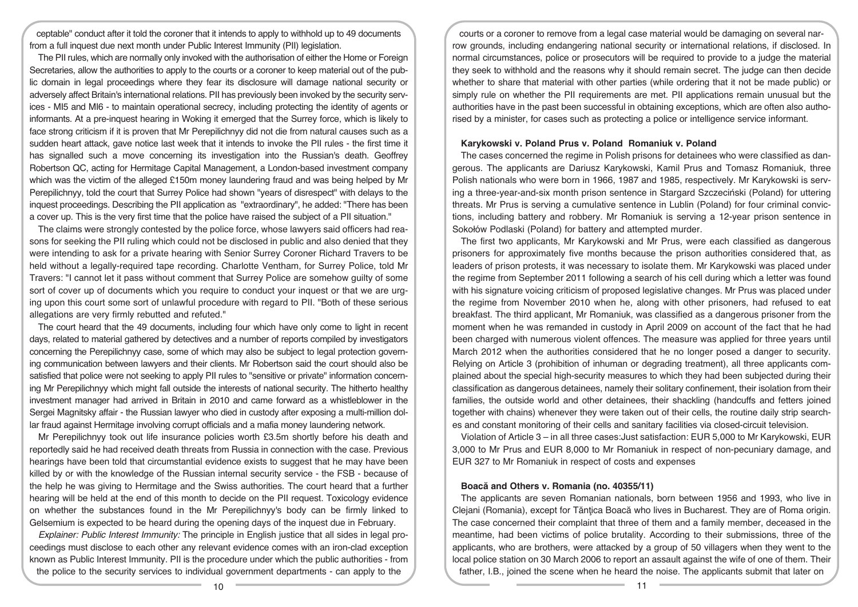ceptable" conduct after it told the coroner that it intends to apply to withhold up to 49 documents from a full inquest due next month under Public Interest Immunity (PII) legislation.

The PII rules, which are normally only invoked with the authorisation of either the Home or Foreign Secretaries, allow the authorities to apply to the courts or a coroner to keep material out of the public domain in legal proceedings where they fear its disclosure will damage national security or adversely affect Britain's international relations. PII has previously been invoked by the security services - MI5 and MI6 - to maintain operational secrecy, including protecting the identity of agents or informants. At a pre-inquest hearing in Woking it emerged that the Surrey force, which is likely to face strong criticism if it is proven that Mr Perepilichnyy did not die from natural causes such as a sudden heart attack, gave notice last week that it intends to invoke the PII rules - the first time it has signalled such a move concerning its investigation into the Russian's death. Geoffrey Robertson QC, acting for Hermitage Capital Management, a London-based investment company which was the victim of the alleged £150m money laundering fraud and was being helped by Mr Perepilichnyy, told the court that Surrey Police had shown "years of disrespect" with delays to the inquest proceedings. Describing the PII application as "extraordinary", he added: "There has been a cover up. This is the very first time that the police have raised the subject of a PII situation."

The claims were strongly contested by the police force, whose lawyers said officers had reasons for seeking the PII ruling which could not be disclosed in public and also denied that they were intending to ask for a private hearing with Senior Surrey Coroner Richard Travers to be held without a legally-required tape recording. Charlotte Ventham, for Surrey Police, told Mr Travers: "I cannot let it pass without comment that Surrey Police are somehow guilty of some sort of cover up of documents which you require to conduct your inquest or that we are urging upon this court some sort of unlawful procedure with regard to PII. "Both of these serious allegations are very firmly rebutted and refuted."

The court heard that the 49 documents, including four which have only come to light in recent days, related to material gathered by detectives and a number of reports compiled by investigators concerning the Perepilichnyy case, some of which may also be subject to legal protection governing communication between lawyers and their clients. Mr Robertson said the court should also be satisfied that police were not seeking to apply PII rules to "sensitive or private" information concerning Mr Perepilichnyy which might fall outside the interests of national security. The hitherto healthy investment manager had arrived in Britain in 2010 and came forward as a whistleblower in the Sergei Magnitsky affair - the Russian lawyer who died in custody after exposing a multi-million dollar fraud against Hermitage involving corrupt officials and a mafia money laundering network.

Mr Perepilichnyy took out life insurance policies worth £3.5m shortly before his death and reportedly said he had received death threats from Russia in connection with the case. Previous hearings have been told that circumstantial evidence exists to suggest that he may have been killed by or with the knowledge of the Russian internal security service - the FSB - because of the help he was giving to Hermitage and the Swiss authorities. The court heard that a further hearing will be held at the end of this month to decide on the PII request. Toxicology evidence on whether the substances found in the Mr Perepilichnyy's body can be firmly linked to Gelsemium is expected to be heard during the opening days of the inquest due in February.

*Explainer: Public Interest Immunity:* The principle in English justice that all sides in legal proceedings must disclose to each other any relevant evidence comes with an iron-clad exception known as Public Interest Immunity. PII is the procedure under which the public authorities - from the police to the security services to individual government departments - can apply to the

courts or a coroner to remove from a legal case material would be damaging on several narrow grounds, including endangering national security or international relations, if disclosed. In normal circumstances, police or prosecutors will be required to provide to a judge the material they seek to withhold and the reasons why it should remain secret. The judge can then decide whether to share that material with other parties (while ordering that it not be made public) or simply rule on whether the PII requirements are met. PII applications remain unusual but the authorities have in the past been successful in obtaining exceptions, which are often also authorised by a minister, for cases such as protecting a police or intelligence service informant.

### **Karykowski v. Poland Prus v. Poland Romaniuk v. Poland**

The cases concerned the regime in Polish prisons for detainees who were classified as dangerous. The applicants are Dariusz Karykowski, Kamil Prus and Tomasz Romaniuk, three Polish nationals who were born in 1966, 1987 and 1985, respectively. Mr Karykowski is serving a three-year-and-six month prison sentence in Stargard Szczeciński (Poland) for uttering threats. Mr Prus is serving a cumulative sentence in Lublin (Poland) for four criminal convictions, including battery and robbery. Mr Romaniuk is serving a 12-year prison sentence in Sokołów Podlaski (Poland) for battery and attempted murder.

The first two applicants, Mr Karykowski and Mr Prus, were each classified as dangerous prisoners for approximately five months because the prison authorities considered that, as leaders of prison protests, it was necessary to isolate them. Mr Karykowski was placed under the regime from September 2011 following a search of his cell during which a letter was found with his signature voicing criticism of proposed legislative changes. Mr Prus was placed under the regime from November 2010 when he, along with other prisoners, had refused to eat breakfast. The third applicant, Mr Romaniuk, was classified as a dangerous prisoner from the moment when he was remanded in custody in April 2009 on account of the fact that he had been charged with numerous violent offences. The measure was applied for three years until March 2012 when the authorities considered that he no longer posed a danger to security. Relying on Article 3 (prohibition of inhuman or degrading treatment), all three applicants complained about the special high-security measures to which they had been subjected during their classification as dangerous detainees, namely their solitary confinement, their isolation from their families, the outside world and other detainees, their shackling (handcuffs and fetters joined together with chains) whenever they were taken out of their cells, the routine daily strip searches and constant monitoring of their cells and sanitary facilities via closed-circuit television.

Violation of Article 3 – in all three cases:Just satisfaction: EUR 5,000 to Mr Karykowski, EUR 3,000 to Mr Prus and EUR 8,000 to Mr Romaniuk in respect of non-pecuniary damage, and EUR 327 to Mr Romaniuk in respect of costs and expenses

#### **Boacă and Others v. Romania (no. 40355/11)**

The applicants are seven Romanian nationals, born between 1956 and 1993, who live in Clejani (Romania), except for Tănțica Boacă who lives in Bucharest. They are of Roma origin. The case concerned their complaint that three of them and a family member, deceased in the meantime, had been victims of police brutality. According to their submissions, three of the applicants, who are brothers, were attacked by a group of 50 villagers when they went to the local police station on 30 March 2006 to report an assault against the wife of one of them. Their father, I.B., joined the scene when he heard the noise. The applicants submit that later on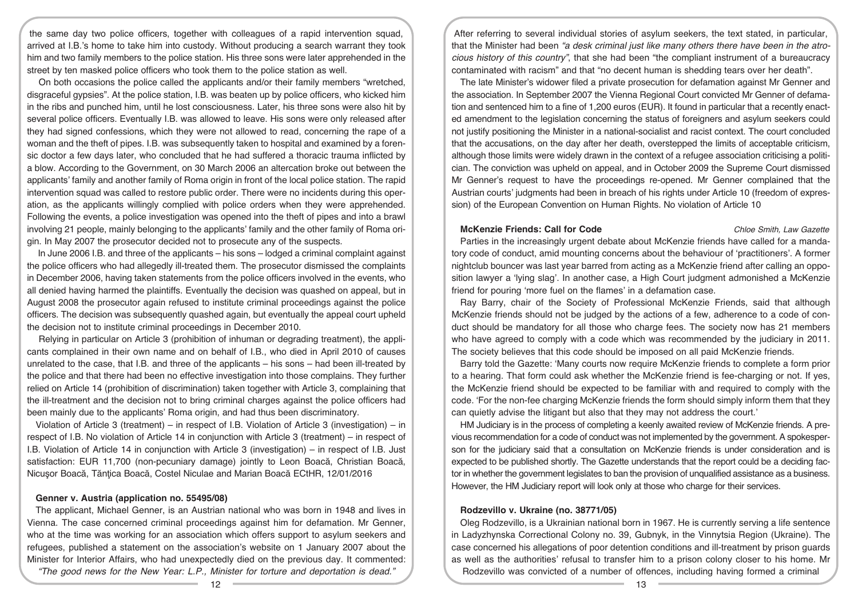the same day two police officers, together with colleagues of a rapid intervention squad, arrived at I.B.'s home to take him into custody. Without producing a search warrant they took him and two family members to the police station. His three sons were later apprehended in the street by ten masked police officers who took them to the police station as well.

On both occasions the police called the applicants and/or their family members "wretched, disgraceful gypsies". At the police station, I.B. was beaten up by police officers, who kicked him in the ribs and punched him, until he lost consciousness. Later, his three sons were also hit by several police officers. Eventually I.B. was allowed to leave. His sons were only released after they had signed confessions, which they were not allowed to read, concerning the rape of a woman and the theft of pipes. I.B. was subsequently taken to hospital and examined by a forensic doctor a few days later, who concluded that he had suffered a thoracic trauma inflicted by a blow. According to the Government, on 30 March 2006 an altercation broke out between the applicants' family and another family of Roma origin in front of the local police station. The rapid intervention squad was called to restore public order. There were no incidents during this operation, as the applicants willingly complied with police orders when they were apprehended. Following the events, a police investigation was opened into the theft of pipes and into a brawl involving 21 people, mainly belonging to the applicants' family and the other family of Roma origin. In May 2007 the prosecutor decided not to prosecute any of the suspects.

In June 2006 I.B. and three of the applicants – his sons – lodged a criminal complaint against the police officers who had allegedly ill-treated them. The prosecutor dismissed the complaints in December 2006, having taken statements from the police officers involved in the events, who all denied having harmed the plaintiffs. Eventually the decision was quashed on appeal, but in August 2008 the prosecutor again refused to institute criminal proceedings against the police officers. The decision was subsequently quashed again, but eventually the appeal court upheld the decision not to institute criminal proceedings in December 2010.

Relying in particular on Article 3 (prohibition of inhuman or degrading treatment), the applicants complained in their own name and on behalf of I.B., who died in April 2010 of causes unrelated to the case, that I.B. and three of the applicants – his sons – had been ill-treated by the police and that there had been no effective investigation into those complains. They further relied on Article 14 (prohibition of discrimination) taken together with Article 3, complaining that the ill-treatment and the decision not to bring criminal charges against the police officers had been mainly due to the applicants' Roma origin, and had thus been discriminatory.

Violation of Article 3 (treatment) – in respect of I.B. Violation of Article 3 (investigation) – in respect of I.B. No violation of Article 14 in conjunction with Article 3 (treatment) – in respect of I.B. Violation of Article 14 in conjunction with Article 3 (investigation) – in respect of I.B. Just satisfaction: EUR 11,700 (non-pecuniary damage) jointly to Leon Boacă, Christian Boacă, Nicuşor Boacă, Tănţica Boacă, Costel Niculae and Marian Boacă ECtHR, 12/01/2016

#### **Genner v. Austria (application no. 55495/08)**

The applicant, Michael Genner, is an Austrian national who was born in 1948 and lives in Vienna. The case concerned criminal proceedings against him for defamation. Mr Genner, who at the time was working for an association which offers support to asylum seekers and refugees, published a statement on the association's website on 1 January 2007 about the Minister for Interior Affairs, who had unexpectedly died on the previous day. It commented:

*"The good news for the New Year: L.P., Minister for torture and deportation is dead."*

After referring to several individual stories of asylum seekers, the text stated, in particular, that the Minister had been *"a desk criminal just like many others there have been in the atrocious history of this country"*, that she had been "the compliant instrument of a bureaucracy contaminated with racism" and that "no decent human is shedding tears over her death".

The late Minister's widower filed a private prosecution for defamation against Mr Genner and the association. In September 2007 the Vienna Regional Court convicted Mr Genner of defamation and sentenced him to a fine of 1,200 euros (EUR). It found in particular that a recently enacted amendment to the legislation concerning the status of foreigners and asylum seekers could not justify positioning the Minister in a national-socialist and racist context. The court concluded that the accusations, on the day after her death, overstepped the limits of acceptable criticism, although those limits were widely drawn in the context of a refugee association criticising a politician. The conviction was upheld on appeal, and in October 2009 the Supreme Court dismissed Mr Genner's request to have the proceedings re-opened. Mr Genner complained that the Austrian courts' judgments had been in breach of his rights under Article 10 (freedom of expression) of the European Convention on Human Rights. No violation of Article 10

#### **McKenzie Friends: Call for Code** *Chloe Smith, Law Gazette*

Parties in the increasingly urgent debate about McKenzie friends have called for a mandatory code of conduct, amid mounting concerns about the behaviour of 'practitioners'. A former nightclub bouncer was last year barred from acting as a McKenzie friend after calling an opposition lawyer a 'lying slag'. In another case, a High Court judgment admonished a McKenzie friend for pouring 'more fuel on the flames' in a defamation case.

Ray Barry, chair of the Society of Professional McKenzie Friends, said that although McKenzie friends should not be judged by the actions of a few, adherence to a code of conduct should be mandatory for all those who charge fees. The society now has 21 members who have agreed to comply with a code which was recommended by the judiciary in 2011. The society believes that this code should be imposed on all paid McKenzie friends.

Barry told the Gazette: 'Many courts now require McKenzie friends to complete a form prior to a hearing. That form could ask whether the McKenzie friend is fee-charging or not. If yes, the McKenzie friend should be expected to be familiar with and required to comply with the code. 'For the non-fee charging McKenzie friends the form should simply inform them that they can quietly advise the litigant but also that they may not address the court.'

HM Judiciary is in the process of completing a keenly awaited review of McKenzie friends. A previous recommendation for a code of conduct was not implemented by the government. A spokesperson for the judiciary said that a consultation on McKenzie friends is under consideration and is expected to be published shortly. The Gazette understands that the report could be a deciding factor in whether the government legislates to ban the provision of unqualified assistance as a business. However, the HM Judiciary report will look only at those who charge for their services.

## **Rodzevillo v. Ukraine (no. 38771/05)**

Oleg Rodzevillo, is a Ukrainian national born in 1967. He is currently serving a life sentence in Ladyzhynska Correctional Colony no. 39, Gubnyk, in the Vinnytsia Region (Ukraine). The case concerned his allegations of poor detention conditions and ill-treatment by prison guards as well as the authorities' refusal to transfer him to a prison colony closer to his home. Mr Rodzevillo was convicted of a number of offences, including having formed a criminal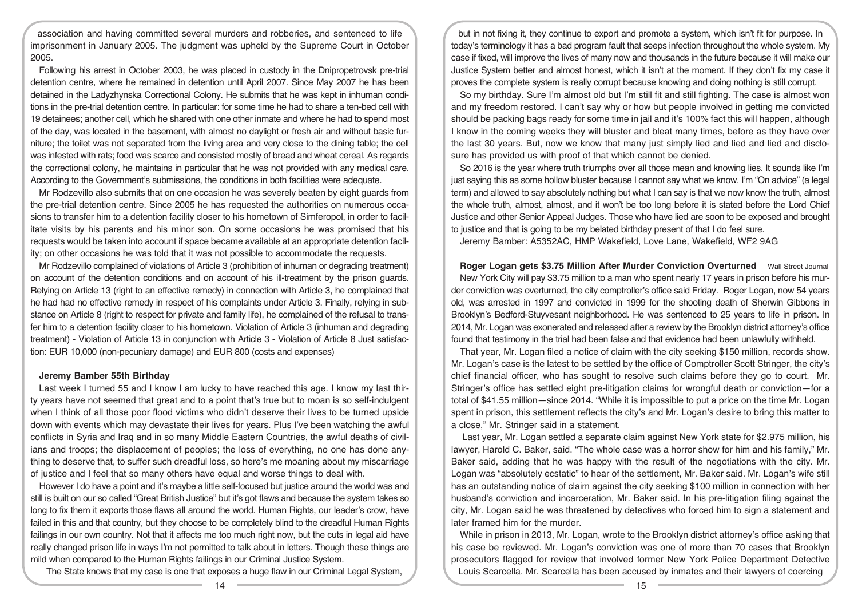association and having committed several murders and robberies, and sentenced to life imprisonment in January 2005. The judgment was upheld by the Supreme Court in October 2005.

Following his arrest in October 2003, he was placed in custody in the Dnipropetrovsk pre-trial detention centre, where he remained in detention until April 2007. Since May 2007 he has been detained in the Ladyzhynska Correctional Colony. He submits that he was kept in inhuman conditions in the pre-trial detention centre. In particular: for some time he had to share a ten-bed cell with 19 detainees; another cell, which he shared with one other inmate and where he had to spend most of the day, was located in the basement, with almost no daylight or fresh air and without basic furniture; the toilet was not separated from the living area and very close to the dining table; the cell was infested with rats; food was scarce and consisted mostly of bread and wheat cereal. As regards the correctional colony, he maintains in particular that he was not provided with any medical care. According to the Government's submissions, the conditions in both facilities were adequate.

Mr Rodzevillo also submits that on one occasion he was severely beaten by eight guards from the pre-trial detention centre. Since 2005 he has requested the authorities on numerous occasions to transfer him to a detention facility closer to his hometown of Simferopol, in order to facilitate visits by his parents and his minor son. On some occasions he was promised that his requests would be taken into account if space became available at an appropriate detention facility; on other occasions he was told that it was not possible to accommodate the requests.

Mr Rodzevillo complained of violations of Article 3 (prohibition of inhuman or degrading treatment) on account of the detention conditions and on account of his ill-treatment by the prison guards. Relying on Article 13 (right to an effective remedy) in connection with Article 3, he complained that he had had no effective remedy in respect of his complaints under Article 3. Finally, relying in substance on Article 8 (right to respect for private and family life), he complained of the refusal to transfer him to a detention facility closer to his hometown. Violation of Article 3 (inhuman and degrading treatment) - Violation of Article 13 in conjunction with Article 3 - Violation of Article 8 Just satisfaction: EUR 10,000 (non-pecuniary damage) and EUR 800 (costs and expenses)

## **Jeremy Bamber 55th Birthday**

Last week I turned 55 and I know I am lucky to have reached this age. I know my last thirty years have not seemed that great and to a point that's true but to moan is so self-indulgent when I think of all those poor flood victims who didn't deserve their lives to be turned upside down with events which may devastate their lives for years. Plus I've been watching the awful conflicts in Syria and Iraq and in so many Middle Eastern Countries, the awful deaths of civilians and troops; the displacement of peoples; the loss of everything, no one has done anything to deserve that, to suffer such dreadful loss, so here's me moaning about my miscarriage of justice and I feel that so many others have equal and worse things to deal with.

However I do have a point and it's maybe a little self-focused but justice around the world was and still is built on our so called "Great British Justice" but it's got flaws and because the system takes so long to fix them it exports those flaws all around the world. Human Rights, our leader's crow, have failed in this and that country, but they choose to be completely blind to the dreadful Human Rights failings in our own country. Not that it affects me too much right now, but the cuts in legal aid have really changed prison life in ways I'm not permitted to talk about in letters. Though these things are mild when compared to the Human Rights failings in our Criminal Justice System.

The State knows that my case is one that exposes a huge flaw in our Criminal Legal System,

but in not fixing it, they continue to export and promote a system, which isn't fit for purpose. In today's terminology it has a bad program fault that seeps infection throughout the whole system. My case if fixed, will improve the lives of many now and thousands in the future because it will make our Justice System better and almost honest, which it isn't at the moment. If they don't fix my case it proves the complete system is really corrupt because knowing and doing nothing is still corrupt.

So my birthday. Sure I'm almost old but I'm still fit and still fighting. The case is almost won and my freedom restored. I can't say why or how but people involved in getting me convicted should be packing bags ready for some time in jail and it's 100% fact this will happen, although I know in the coming weeks they will bluster and bleat many times, before as they have over the last 30 years. But, now we know that many just simply lied and lied and lied and disclosure has provided us with proof of that which cannot be denied.

So 2016 is the year where truth triumphs over all those mean and knowing lies. It sounds like I'm just saying this as some hollow bluster because I cannot say what we know. I'm "On advice" (a legal term) and allowed to say absolutely nothing but what I can say is that we now know the truth, almost the whole truth, almost, almost, and it won't be too long before it is stated before the Lord Chief Justice and other Senior Appeal Judges. Those who have lied are soon to be exposed and brought to justice and that is going to be my belated birthday present of that I do feel sure.

Jeremy Bamber: A5352AC, HMP Wakefield, Love Lane, Wakefield, WF2 9AG

**Roger Logan gets \$3.75 Million After Murder Conviction Overturned** Wall Street Journal New York City will pay \$3.75 million to a man who spent nearly 17 years in prison before his murder conviction was overturned, the city comptroller's office said Friday. Roger Logan, now 54 years old, was arrested in 1997 and convicted in 1999 for the shooting death of Sherwin Gibbons in Brooklyn's Bedford-Stuyvesant neighborhood. He was sentenced to 25 years to life in prison. In 2014, Mr. Logan was exonerated and released after a review by the Brooklyn district attorney's office found that testimony in the trial had been false and that evidence had been unlawfully withheld.

That year, Mr. Logan filed a notice of claim with the city seeking \$150 million, records show. Mr. Logan's case is the latest to be settled by the office of Comptroller Scott Stringer, the city's chief financial officer, who has sought to resolve such claims before they go to court. Mr. Stringer's office has settled eight pre-litigation claims for wrongful death or conviction—for a total of \$41.55 million—since 2014. "While it is impossible to put a price on the time Mr. Logan spent in prison, this settlement reflects the city's and Mr. Logan's desire to bring this matter to a close," Mr. Stringer said in a statement.

Last year, Mr. Logan settled a separate claim against New York state for \$2.975 million, his lawyer, Harold C. Baker, said. "The whole case was a horror show for him and his family," Mr. Baker said, adding that he was happy with the result of the negotiations with the city. Mr. Logan was "absolutely ecstatic" to hear of the settlement, Mr. Baker said. Mr. Logan's wife still has an outstanding notice of claim against the city seeking \$100 million in connection with her husband's conviction and incarceration, Mr. Baker said. In his pre-litigation filing against the city, Mr. Logan said he was threatened by detectives who forced him to sign a statement and later framed him for the murder.

While in prison in 2013, Mr. Logan, wrote to the Brooklyn district attorney's office asking that his case be reviewed. Mr. Logan's conviction was one of more than 70 cases that Brooklyn prosecutors flagged for review that involved former New York Police Department Detective Louis Scarcella. Mr. Scarcella has been accused by inmates and their lawyers of coercing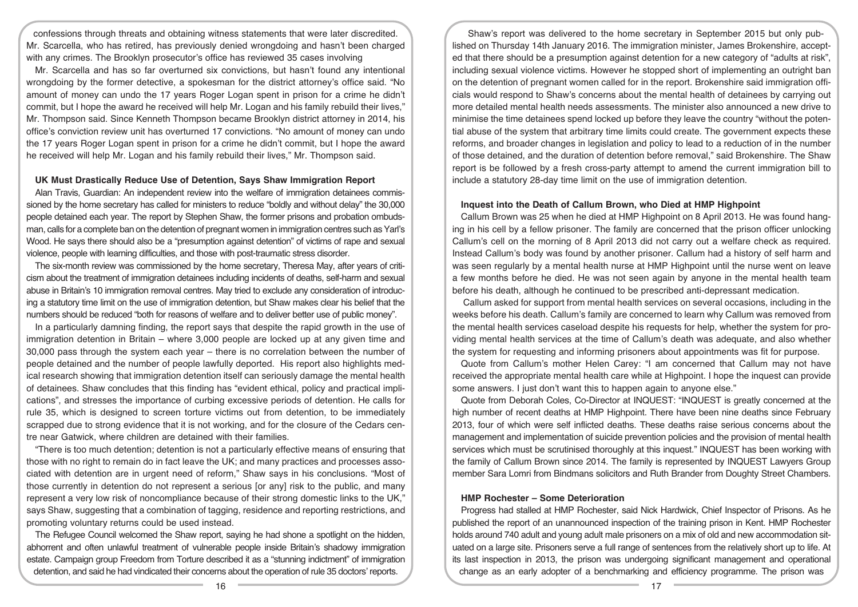confessions through threats and obtaining witness statements that were later discredited. Mr. Scarcella, who has retired, has previously denied wrongdoing and hasn't been charged with any crimes. The Brooklyn prosecutor's office has reviewed 35 cases involving

Mr. Scarcella and has so far overturned six convictions, but hasn't found any intentional wrongdoing by the former detective, a spokesman for the district attorney's office said. "No amount of money can undo the 17 years Roger Logan spent in prison for a crime he didn't commit, but I hope the award he received will help Mr. Logan and his family rebuild their lives," Mr. Thompson said. Since Kenneth Thompson became Brooklyn district attorney in 2014, his office's conviction review unit has overturned 17 convictions. "No amount of money can undo the 17 years Roger Logan spent in prison for a crime he didn't commit, but I hope the award he received will help Mr. Logan and his family rebuild their lives," Mr. Thompson said.

## **UK Must Drastically Reduce Use of Detention, Says Shaw Immigration Report**

Alan Travis, Guardian: An independent review into the welfare of immigration detainees commissioned by the home secretary has called for ministers to reduce "boldly and without delay" the 30,000 people detained each year. The report by Stephen Shaw, the former prisons and probation ombudsman, calls for a complete ban on the detention of pregnant women in immigration centres such asYarl's Wood. He says there should also be a "presumption against detention" of victims of rape and sexual violence, people with learning difficulties, and those with post-traumatic stress disorder.

The six-month review was commissioned by the home secretary, Theresa May, after years of criticism about the treatment of immigration detainees including incidents of deaths, self-harm and sexual abuse in Britain's 10 immigration removal centres. May tried to exclude any consideration of introducing a statutory time limit on the use of immigration detention, but Shaw makes clear his belief that the numbers should be reduced "both for reasons of welfare and to deliver better use of public money".

In a particularly damning finding, the report says that despite the rapid growth in the use of immigration detention in Britain – where 3,000 people are locked up at any given time and 30,000 pass through the system each year – there is no correlation between the number of people detained and the number of people lawfully deported. His report also highlights medical research showing that immigration detention itself can seriously damage the mental health of detainees. Shaw concludes that this finding has "evident ethical, policy and practical implications", and stresses the importance of curbing excessive periods of detention. He calls for rule 35, which is designed to screen torture victims out from detention, to be immediately scrapped due to strong evidence that it is not working, and for the closure of the Cedars centre near Gatwick, where children are detained with their families.

"There is too much detention; detention is not a particularly effective means of ensuring that those with no right to remain do in fact leave the UK; and many practices and processes associated with detention are in urgent need of reform," Shaw says in his conclusions. "Most of those currently in detention do not represent a serious [or any] risk to the public, and many represent a very low risk of noncompliance because of their strong domestic links to the UK," says Shaw, suggesting that a combination of tagging, residence and reporting restrictions, and promoting voluntary returns could be used instead.

The Refugee Council welcomed the Shaw report, saying he had shone a spotlight on the hidden, abhorrent and often unlawful treatment of vulnerable people inside Britain's shadowy immigration estate. Campaign group Freedom from Torture described it as a "stunning indictment" of immigration detention, and said he had vindicated their concerns about the operation of rule 35 doctors' reports.

Shaw's report was delivered to the home secretary in September 2015 but only published on Thursday 14th January 2016. The immigration minister, James Brokenshire, accepted that there should be a presumption against detention for a new category of "adults at risk", including sexual violence victims. However he stopped short of implementing an outright ban on the detention of pregnant women called for in the report. Brokenshire said immigration officials would respond to Shaw's concerns about the mental health of detainees by carrying out more detailed mental health needs assessments. The minister also announced a new drive to minimise the time detainees spend locked up before they leave the country "without the potential abuse of the system that arbitrary time limits could create. The government expects these reforms, and broader changes in legislation and policy to lead to a reduction of in the number of those detained, and the duration of detention before removal," said Brokenshire. The Shaw report is be followed by a fresh cross-party attempt to amend the current immigration bill to include a statutory 28-day time limit on the use of immigration detention.

#### **Inquest into the Death of Callum Brown, who Died at HMP Highpoint**

Callum Brown was 25 when he died at HMP Highpoint on 8 April 2013. He was found hanging in his cell by a fellow prisoner. The family are concerned that the prison officer unlocking Callum's cell on the morning of 8 April 2013 did not carry out a welfare check as required. Instead Callum's body was found by another prisoner. Callum had a history of self harm and was seen regularly by a mental health nurse at HMP Highpoint until the nurse went on leave a few months before he died. He was not seen again by anyone in the mental health team before his death, although he continued to be prescribed anti-depressant medication.

Callum asked for support from mental health services on several occasions, including in the weeks before his death. Callum's family are concerned to learn why Callum was removed from the mental health services caseload despite his requests for help, whether the system for providing mental health services at the time of Callum's death was adequate, and also whether the system for requesting and informing prisoners about appointments was fit for purpose.

Quote from Callum's mother Helen Carey: "I am concerned that Callum may not have received the appropriate mental health care while at Highpoint. I hope the inquest can provide some answers. I just don't want this to happen again to anyone else."

Quote from Deborah Coles, Co-Director at INQUEST: "INQUEST is greatly concerned at the high number of recent deaths at HMP Highpoint. There have been nine deaths since February 2013, four of which were self inflicted deaths. These deaths raise serious concerns about the management and implementation of suicide prevention policies and the provision of mental health services which must be scrutinised thoroughly at this inquest." INQUEST has been working with the family of Callum Brown since 2014. The family is represented by INQUEST Lawyers Group member Sara Lomri from Bindmans solicitors and Ruth Brander from Doughty Street Chambers.

#### **HMP Rochester – Some Deterioration**

Progress had stalled at HMP Rochester, said Nick Hardwick, Chief Inspector of Prisons. As he published the report of an unannounced inspection of the training prison in Kent. HMP Rochester holds around 740 adult and young adult male prisoners on a mix of old and new accommodation situated on a large site. Prisoners serve a full range of sentences from the relatively short up to life. At its last inspection in 2013, the prison was undergoing significant management and operational change as an early adopter of a benchmarking and efficiency programme. The prison was